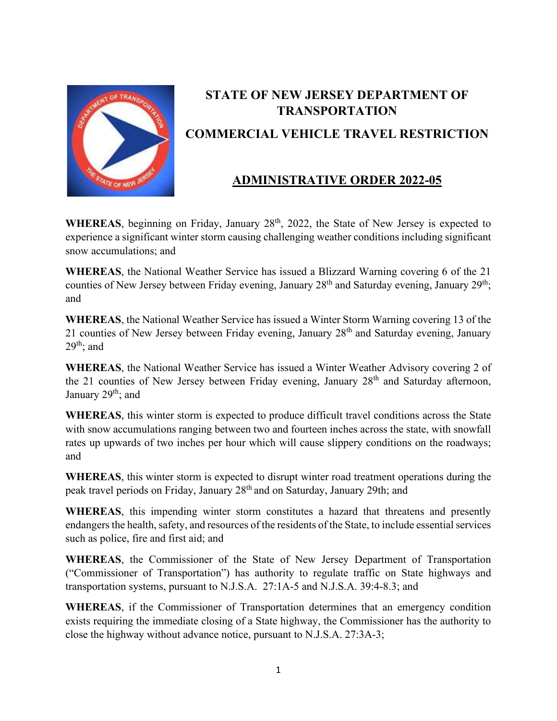

## **STATE OF NEW JERSEY DEPARTMENT OF TRANSPORTATION COMMERCIAL VEHICLE TRAVEL RESTRICTION**

## **ADMINISTRATIVE ORDER 2022-05**

WHEREAS, beginning on Friday, January 28<sup>th</sup>, 2022, the State of New Jersey is expected to experience a significant winter storm causing challenging weather conditions including significant snow accumulations; and

**WHEREAS**, the National Weather Service has issued a Blizzard Warning covering 6 of the 21 counties of New Jersey between Friday evening, January 28<sup>th</sup> and Saturday evening, January 29<sup>th</sup>; and

**WHEREAS**, the National Weather Service has issued a Winter Storm Warning covering 13 of the 21 counties of New Jersey between Friday evening, January 28<sup>th</sup> and Saturday evening, January  $29<sup>th</sup>$ ; and

**WHEREAS**, the National Weather Service has issued a Winter Weather Advisory covering 2 of the 21 counties of New Jersey between Friday evening, January 28<sup>th</sup> and Saturday afternoon, January 29<sup>th</sup>; and

**WHEREAS**, this winter storm is expected to produce difficult travel conditions across the State with snow accumulations ranging between two and fourteen inches across the state, with snowfall rates up upwards of two inches per hour which will cause slippery conditions on the roadways; and

**WHEREAS**, this winter storm is expected to disrupt winter road treatment operations during the peak travel periods on Friday, January 28th and on Saturday, January 29th; and

**WHEREAS**, this impending winter storm constitutes a hazard that threatens and presently endangers the health, safety, and resources of the residents of the State, to include essential services such as police, fire and first aid; and

**WHEREAS**, the Commissioner of the State of New Jersey Department of Transportation ("Commissioner of Transportation") has authority to regulate traffic on State highways and transportation systems, pursuant to N.J.S.A. 27:1A-5 and N.J.S.A. 39:4-8.3; and

**WHEREAS**, if the Commissioner of Transportation determines that an emergency condition exists requiring the immediate closing of a State highway, the Commissioner has the authority to close the highway without advance notice, pursuant to N.J.S.A. 27:3A-3;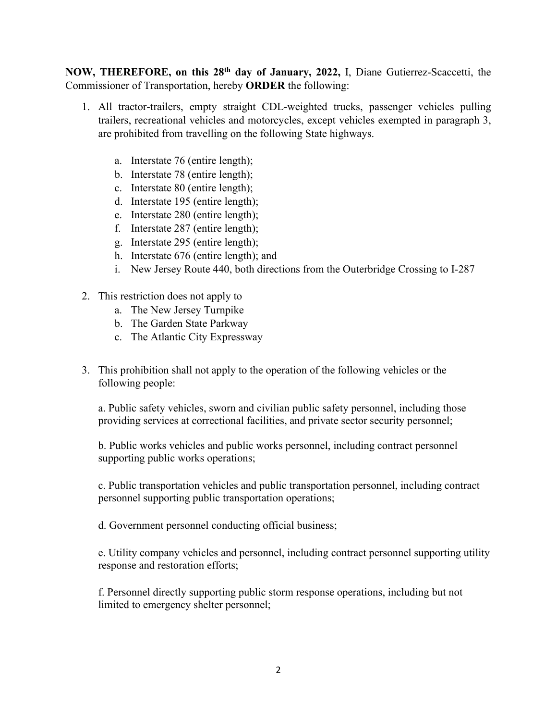**NOW, THEREFORE, on this 28th day of January, 2022,** I, Diane Gutierrez-Scaccetti, the Commissioner of Transportation, hereby **ORDER** the following:

- 1. All tractor-trailers, empty straight CDL-weighted trucks, passenger vehicles pulling trailers, recreational vehicles and motorcycles, except vehicles exempted in paragraph 3, are prohibited from travelling on the following State highways.
	- a. Interstate 76 (entire length);
	- b. Interstate 78 (entire length);
	- c. Interstate 80 (entire length);
	- d. Interstate 195 (entire length);
	- e. Interstate 280 (entire length);
	- f. Interstate 287 (entire length);
	- g. Interstate 295 (entire length);
	- h. Interstate 676 (entire length); and
	- i. New Jersey Route 440, both directions from the Outerbridge Crossing to I-287
- 2. This restriction does not apply to
	- a. The New Jersey Turnpike
	- b. The Garden State Parkway
	- c. The Atlantic City Expressway
- 3. This prohibition shall not apply to the operation of the following vehicles or the following people:

a. Public safety vehicles, sworn and civilian public safety personnel, including those providing services at correctional facilities, and private sector security personnel;

b. Public works vehicles and public works personnel, including contract personnel supporting public works operations;

c. Public transportation vehicles and public transportation personnel, including contract personnel supporting public transportation operations;

d. Government personnel conducting official business;

e. Utility company vehicles and personnel, including contract personnel supporting utility response and restoration efforts;

f. Personnel directly supporting public storm response operations, including but not limited to emergency shelter personnel;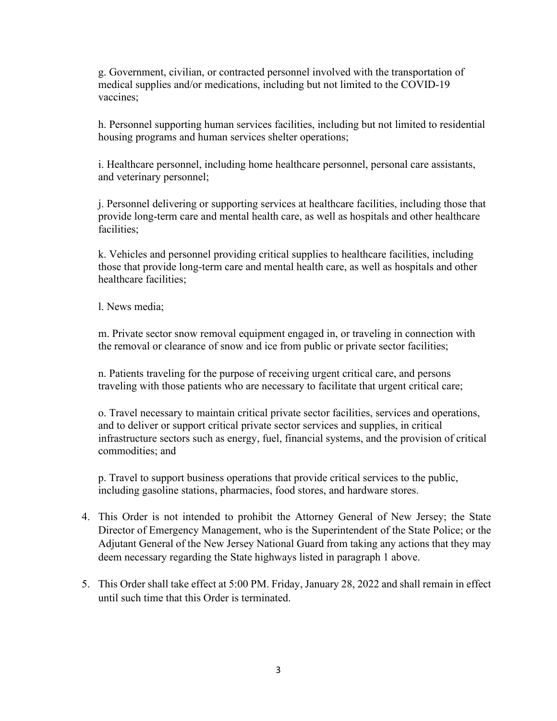g. Government, civilian, or contracted personnel involved with the transportation of medical supplies and/or medications, including but not limited to the COVID-19 vaccines;

h. Personnel supporting human services facilities, including but not limited to residential housing programs and human services shelter operations;

i. Healthcare personnel, including home healthcare personnel, personal care assistants, and veterinary personnel;

j. Personnel delivering or supporting services at healthcare facilities, including those that provide long-term care and mental health care, as well as hospitals and other healthcare facilities;

k. Vehicles and personnel providing critical supplies to healthcare facilities, including those that provide long-term care and mental health care, as well as hospitals and other healthcare facilities;

l. News media;

m. Private sector snow removal equipment engaged in, or traveling in connection with the removal or clearance of snow and ice from public or private sector facilities;

n. Patients traveling for the purpose of receiving urgent critical care, and persons traveling with those patients who are necessary to facilitate that urgent critical care;

o. Travel necessary to maintain critical private sector facilities, services and operations, and to deliver or support critical private sector services and supplies, in critical infrastructure sectors such as energy, fuel, financial systems, and the provision of critical commodities; and

p. Travel to support business operations that provide critical services to the public, including gasoline stations, pharmacies, food stores, and hardware stores.

- 4. This Order is not intended to prohibit the Attorney General of New Jersey; the State Director of Emergency Management, who is the Superintendent of the State Police; or the Adjutant General of the New Jersey National Guard from taking any actions that they may deem necessary regarding the State highways listed in paragraph 1 above.
- 5. This Order shall take effect at 5:00 PM. Friday, January 28, 2022 and shall remain in effect until such time that this Order is terminated.